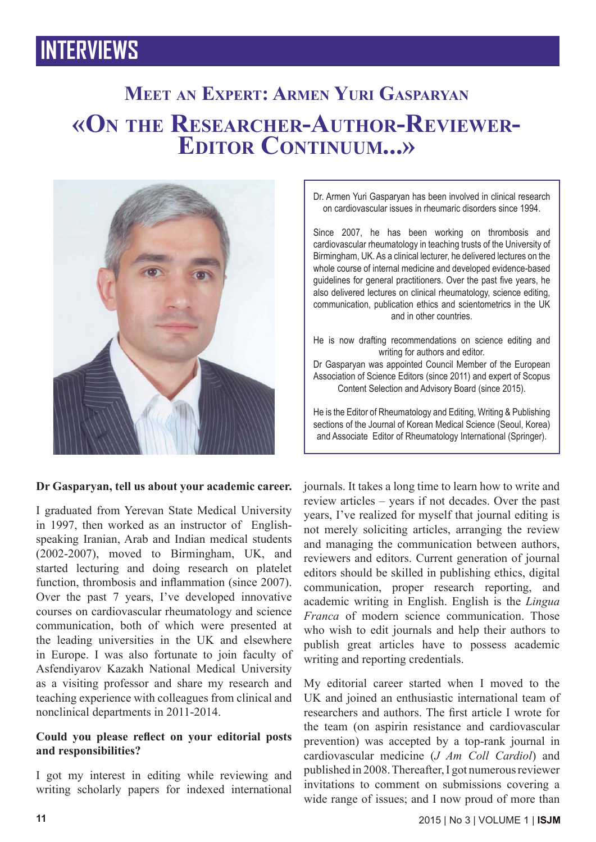# **Meet an Expert: Armen Yuri Gasparyan «On the Researcher-Author-Reviewer- Editor Continuum...»**



### **Dr Gasparyan, tell us about your academic career.**

I graduated from Yerevan State Medical University in 1997, then worked as an instructor of Englishspeaking Iranian, Arab and Indian medical students (2002-2007), moved to Birmingham, UK, and started lecturing and doing research on platelet function, thrombosis and inflammation (since 2007). Over the past 7 years, I've developed innovative courses on cardiovascular rheumatology and science communication, both of which were presented at the leading universities in the UK and elsewhere in Europe. I was also fortunate to join faculty of Asfendiyarov Kazakh National Medical University as a visiting professor and share my research and teaching experience with colleagues from clinical and nonclinical departments in 2011-2014.

### **Could you please reflect on your editorial posts and responsibilities?**

I got my interest in editing while reviewing and writing scholarly papers for indexed international Dr. Armen Yuri Gasparyan has been involved in clinical research on cardiovascular issues in rheumaric disorders since 1994.

Since 2007, he has been working on thrombosis and cardiovascular rheumatology in teaching trusts of the University of Birmingham, UK. As a clinical lecturer, he delivered lectures on the whole course of internal medicine and developed evidence-based guidelines for general practitioners. Over the past five years, he also delivered lectures on clinical rheumatology, science editing, communication, publication ethics and scientometrics in the UK and in other countries.

He is now drafting recommendations on science editing and writing for authors and editor. Dr Gasparyan was appointed Council Member of the European Association of Science Editors (since 2011) and expert of Scopus

Content Selection and Advisory Board (since 2015).

He is the Editor of Rheumatology and Editing, Writing & Publishing sections of the Journal of Korean Medical Science (Seoul, Korea) and Associate Editor of Rheumatology International (Springer).

journals. It takes a long time to learn how to write and review articles – years if not decades. Over the past years, I've realized for myself that journal editing is not merely soliciting articles, arranging the review and managing the communication between authors, reviewers and editors. Current generation of journal editors should be skilled in publishing ethics, digital communication, proper research reporting, and academic writing in English. English is the *Lingua Franca* of modern science communication. Those who wish to edit journals and help their authors to publish great articles have to possess academic writing and reporting credentials.

My editorial career started when I moved to the UK and joined an enthusiastic international team of researchers and authors. The first article I wrote for the team (on aspirin resistance and cardiovascular prevention) was accepted by a top-rank journal in cardiovascular medicine (*J Am Coll Cardiol*) and published in 2008. Thereafter, I got numerous reviewer invitations to comment on submissions covering a wide range of issues; and I now proud of more than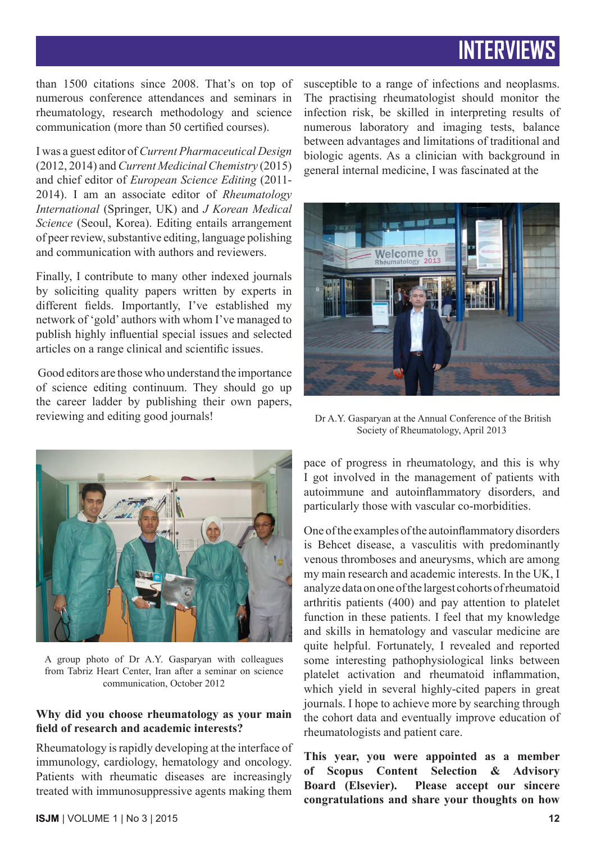than 1500 citations since 2008. That's on top of numerous conference attendances and seminars in rheumatology, research methodology and science communication (more than 50 certified courses).

I was a guest editor of *Current Pharmaceutical Design* (2012, 2014) and *Current Medicinal Chemistry* (2015) and chief editor of *European Science Editing* (2011- 2014). I am an associate editor of *Rheumatology International* (Springer, UK) and *J Korean Medical Science* (Seoul, Korea). Editing entails arrangement of peer review, substantive editing, language polishing and communication with authors and reviewers.

Finally, I contribute to many other indexed journals by soliciting quality papers written by experts in different fields. Importantly, I've established my network of 'gold' authors with whom I've managed to publish highly influential special issues and selected articles on a range clinical and scientific issues.

 Good editors are those who understand the importance of science editing continuum. They should go up the career ladder by publishing their own papers, reviewing and editing good journals!



A group photo of Dr A.Y. Gasparyan with colleagues from Tabriz Heart Center, Iran after a seminar on science communication, October 2012

#### **Why did you choose rheumatology as your main field of research and academic interests?**

Rheumatology is rapidly developing at the interface of immunology, cardiology, hematology and oncology. Patients with rheumatic diseases are increasingly treated with immunosuppressive agents making them

susceptible to a range of infections and neoplasms. The practising rheumatologist should monitor the infection risk, be skilled in interpreting results of numerous laboratory and imaging tests, balance between advantages and limitations of traditional and biologic agents. As a clinician with background in general internal medicine, I was fascinated at the



 Dr A.Y. Gasparyan at the Annual Conference of the British Society of Rheumatology, April 2013

pace of progress in rheumatology, and this is why I got involved in the management of patients with autoimmune and autoinflammatory disorders, and particularly those with vascular co-morbidities.

One of the examples of the autoinflammatory disorders is Behcet disease, a vasculitis with predominantly venous thromboses and aneurysms, which are among my main research and academic interests. In the UK, I analyze data on one of the largest cohorts of rheumatoid arthritis patients (400) and pay attention to platelet function in these patients. I feel that my knowledge and skills in hematology and vascular medicine are quite helpful. Fortunately, I revealed and reported some interesting pathophysiological links between platelet activation and rheumatoid inflammation, which yield in several highly-cited papers in great journals. I hope to achieve more by searching through the cohort data and eventually improve education of rheumatologists and patient care.

**This year, you were appointed as a member of Scopus Content Selection & Advisory Board (Elsevier). Please accept our sincere congratulations and share your thoughts on how**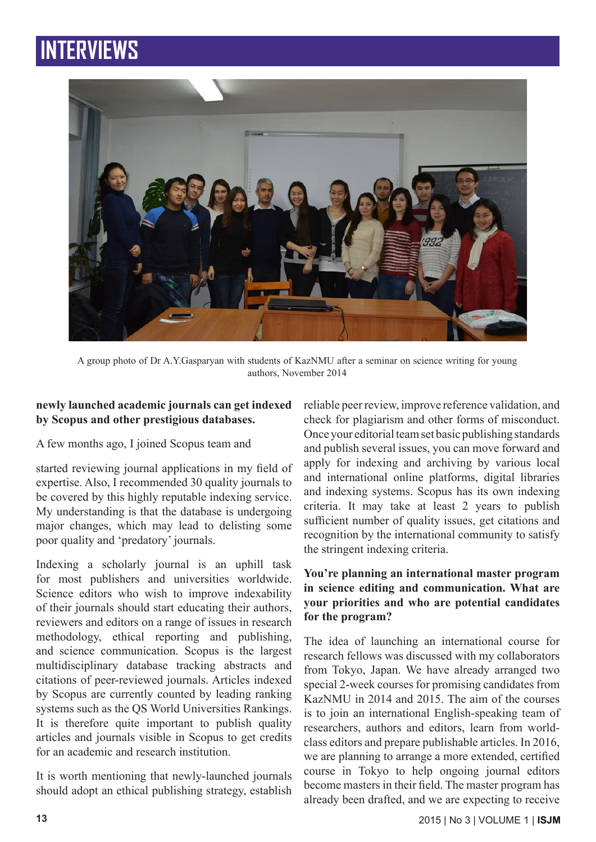

A group photo of Dr A.Y.Gasparyan with students of KazNMU after a seminar on science writing for young authors, November 2014

### **newly launched academic journals can get indexed by Scopus and other prestigious databases.**

A few months ago, I joined Scopus team and

started reviewing journal applications in my field of expertise. Also, I recommended 30 quality journals to be covered by this highly reputable indexing service. My understanding is that the database is undergoing major changes, which may lead to delisting some poor quality and 'predatory' journals.

Indexing a scholarly journal is an uphill task for most publishers and universities worldwide. Science editors who wish to improve indexability of their journals should start educating their authors, reviewers and editors on a range of issues in research methodology, ethical reporting and publishing, and science communication. Scopus is the largest multidisciplinary database tracking abstracts and citations of peer-reviewed journals. Articles indexed by Scopus are currently counted by leading ranking systems such as the QS World Universities Rankings. It is therefore quite important to publish quality articles and journals visible in Scopus to get credits for an academic and research institution.

It is worth mentioning that newly-launched journals should adopt an ethical publishing strategy, establish reliable peer review, improve reference validation, and check for plagiarism and other forms of misconduct. Once your editorial team set basic publishing standards and publish several issues, you can move forward and apply for indexing and archiving by various local and international online platforms, digital libraries and indexing systems. Scopus has its own indexing criteria. It may take at least 2 years to publish sufficient number of quality issues, get citations and recognition by the international community to satisfy the stringent indexing criteria.

### **You're planning an international master program in science editing and communication. What are your priorities and who are potential candidates for the program?**

The idea of launching an international course for research fellows was discussed with my collaborators from Tokyo, Japan. We have already arranged two special 2-week courses for promising candidates from KazNMU in 2014 and 2015. The aim of the courses is to join an international English-speaking team of researchers, authors and editors, learn from worldclass editors and prepare publishable articles. In 2016, we are planning to arrange a more extended, certified course in Tokyo to help ongoing journal editors become masters in their field. The master program has already been drafted, and we are expecting to receive